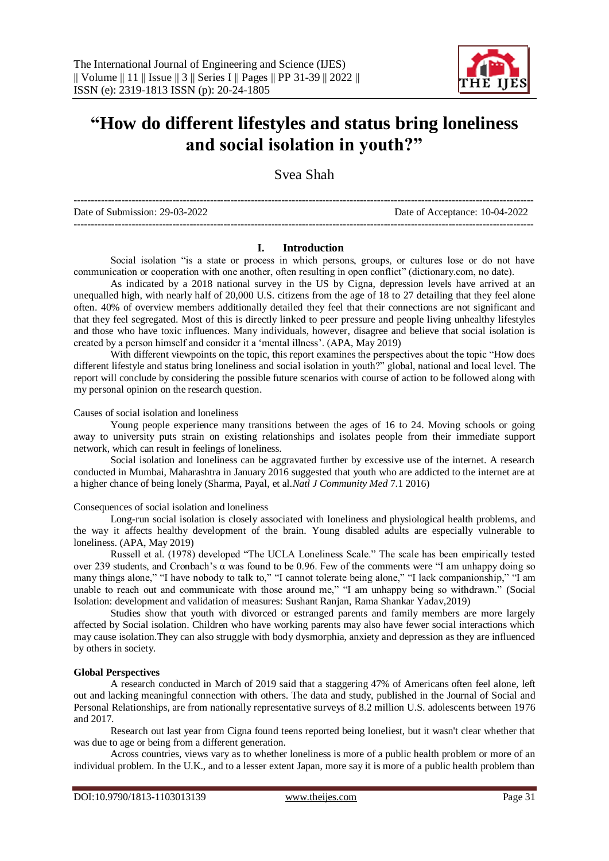

## **"How do different lifestyles and status bring loneliness and social isolation in youth?"**

Svea Shah

--------------------------------------------------------------------------------------------------------------------------------------- Date of Submission: 29-03-2022 Date of Acceptance: 10-04-2022 ---------------------------------------------------------------------------------------------------------------------------------------

#### **I. Introduction**

Social isolation "is a state or process in which persons, groups, or cultures lose or do not have communication or cooperation with one another, often resulting in open conflict" (dictionary.com, no date).

As indicated by a 2018 national survey in the US by Cigna, depression levels have arrived at an unequalled high, with nearly half of 20,000 U.S. citizens from the age of 18 to 27 detailing that they feel alone often. 40% of overview members additionally detailed they feel that their connections are not significant and that they feel segregated. Most of this is directly linked to peer pressure and people living unhealthy lifestyles and those who have toxic influences. Many individuals, however, disagree and believe that social isolation is created by a person himself and consider it a 'mental illness'. (APA, May 2019)

With different viewpoints on the topic, this report examines the perspectives about the topic "How does different lifestyle and status bring loneliness and social isolation in youth?" global, national and local level. The report will conclude by considering the possible future scenarios with course of action to be followed along with my personal opinion on the research question.

#### Causes of social isolation and loneliness

Young people experience many transitions between the ages of 16 to 24. Moving schools or going away to university puts strain on existing relationships and isolates people from their immediate support network, which can result in feelings of loneliness.

Social isolation and loneliness can be aggravated further by excessive use of the internet. A research conducted in Mumbai, Maharashtra in January 2016 suggested that youth who are addicted to the internet are at a higher chance of being lonely (Sharma, Payal, et al.*Natl J Community Med* 7.1 2016)

#### Consequences of social isolation and loneliness

Long-run social isolation is closely associated with loneliness and physiological health problems, and the way it affects healthy development of the brain. Young disabled adults are especially vulnerable to loneliness. (APA, May 2019)

Russell et al. (1978) developed "The UCLA Loneliness Scale." The scale has been empirically tested over 239 students, and Cronbach's α was found to be 0.96. Few of the comments were "I am unhappy doing so many things alone," "I have nobody to talk to," "I cannot tolerate being alone," "I lack companionship," "I am unable to reach out and communicate with those around me," "I am unhappy being so withdrawn." (Social Isolation: development and validation of measures: Sushant Ranjan, Rama Shankar Yadav,2019)

Studies show that youth with divorced or estranged parents and family members are more largely affected by Social isolation. Children who have working parents may also have fewer social interactions which may cause isolation.They can also struggle with body dysmorphia, anxiety and depression as they are influenced by others in society.

#### **Global Perspectives**

A research conducted in March of 2019 said that a staggering 47% of Americans often feel alone, left out and lacking meaningful connection with others. The data and study, published in the Journal of Social and Personal Relationships, are from nationally representative surveys of 8.2 million U.S. adolescents between 1976 and 2017.

Research out last year from Cigna found teens reported being loneliest, but it wasn't clear whether that was due to age or being from a different generation.

Across countries, views vary as to whether loneliness is more of a public health problem or more of an individual problem. In the U.K., and to a lesser extent Japan, more say it is more of a public health problem than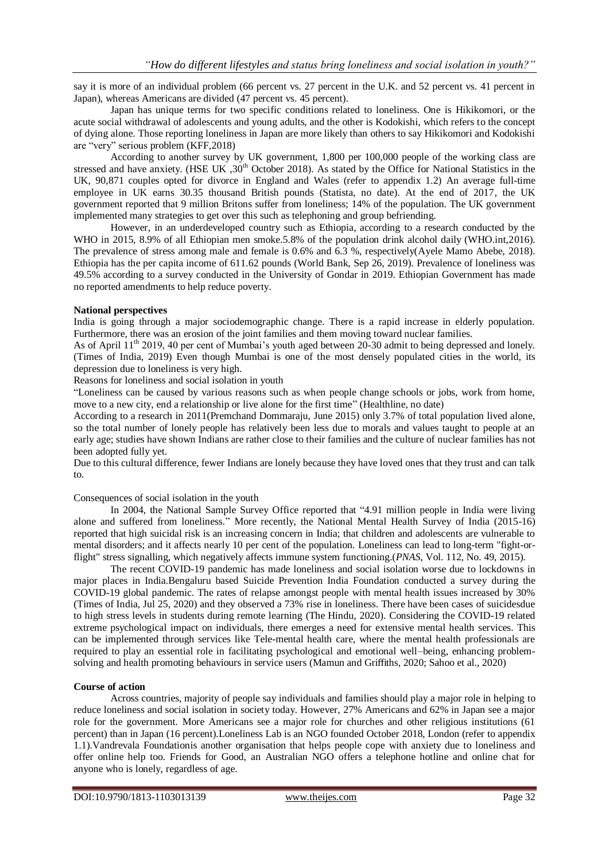say it is more of an individual problem (66 percent vs. 27 percent in the U.K. and 52 percent vs. 41 percent in Japan), whereas Americans are divided (47 percent vs. 45 percent).

Japan has unique terms for two specific conditions related to loneliness. One is Hikikomori, or the acute social withdrawal of adolescents and young adults, and the other is Kodokishi, which refers to the concept of dying alone. Those reporting loneliness in Japan are more likely than others to say Hikikomori and Kodokishi are "very" serious problem (KFF,2018)

According to another survey by UK government, 1,800 per 100,000 people of the working class are stressed and have anxiety. (HSE UK, 30<sup>th</sup> October 2018). As stated by the Office for National Statistics in the UK, 90,871 couples opted for divorce in England and Wales (refer to appendix 1.2) An average full-time employee in UK earns 30.35 thousand British pounds (Statista, no date). At the end of 2017, the UK government reported that 9 million Britons suffer from loneliness; 14% of the population. The UK government implemented many strategies to get over this such as telephoning and group befriending.

However, in an underdeveloped country such as Ethiopia, according to a research conducted by the WHO in 2015, 8.9% of all Ethiopian men smoke.5.8% of the population drink alcohol daily (WHO.int,2016). The prevalence of stress among male and female is 0.6% and 6.3 %, respectively(Ayele Mamo Abebe, 2018). Ethiopia has the per capita income of 611.62 pounds (World Bank, Sep 26, 2019). Prevalence of loneliness was 49.5% according to a survey conducted in the University of Gondar in 2019. Ethiopian Government has made no reported amendments to help reduce poverty.

#### **National perspectives**

India is going through a major sociodemographic change. There is a rapid increase in elderly population. Furthermore, there was an erosion of the joint families and them moving toward nuclear families.

As of April 11<sup>th</sup> 2019, 40 per cent of Mumbai's youth aged between 20-30 admit to being depressed and lonely. (Times of India, 2019) Even though Mumbai is one of the most densely populated cities in the world, its depression due to loneliness is very high.

Reasons for loneliness and social isolation in youth

"Loneliness can be caused by various reasons such as when people change schools or jobs, work from home, move to a new city, end a relationship or live alone for the first time" (Healthline, no date)

According to a research in 2011(Premchand Dommaraju, June 2015) only 3.7% of total population lived alone, so the total number of lonely people has relatively been less due to morals and values taught to people at an early age; studies have shown Indians are rather close to their families and the culture of nuclear families has not been adopted fully yet.

Due to this cultural difference, fewer Indians are lonely because they have loved ones that they trust and can talk to.

#### Consequences of social isolation in the youth

In 2004, the National Sample Survey Office reported that "4.91 million people in India were living alone and suffered from loneliness." More recently, the National Mental Health Survey of India (2015-16) reported that high suicidal risk is an increasing concern in India; that children and adolescents are vulnerable to mental disorders; and it affects nearly 10 per cent of the population. Loneliness can lead to long-term "fight-orflight" stress signalling, which negatively affects immune system functioning.(*PNAS*, Vol. 112, No. 49, 2015).

The recent COVID-19 pandemic has made loneliness and social isolation worse due to lockdowns in major places in India.Bengaluru based Suicide Prevention India Foundation conducted a survey during the COVID-19 global pandemic. The rates of relapse amongst people with mental health issues increased by 30% (Times of India, Jul 25, 2020) and they observed a 73% rise in loneliness. There have been cases of suicidesdue to high stress levels in students during remote learning (The Hindu, 2020). Considering the COVID-19 related extreme psychological impact on individuals, there emerges a need for extensive mental health services. This can be implemented through services like Tele-mental health care, where the mental health professionals are required to play an essential role in facilitating psychological and emotional well–being, enhancing problemsolving and health promoting behaviours in service users (Mamun and Griffiths, 2020; Sahoo et al., 2020)

#### **Course of action**

Across countries, majority of people say individuals and families should play a major role in helping to reduce loneliness and social isolation in society today. However, 27% Americans and 62% in Japan see a major role for the government. More Americans see a major role for churches and other religious institutions (61 percent) than in Japan (16 percent).Loneliness Lab is an NGO founded October 2018, London (refer to appendix 1.1).Vandrevala Foundationis another organisation that helps people cope with anxiety due to loneliness and offer online help too. Friends for Good, an Australian NGO offers a telephone hotline and online chat for anyone who is lonely, regardless of age.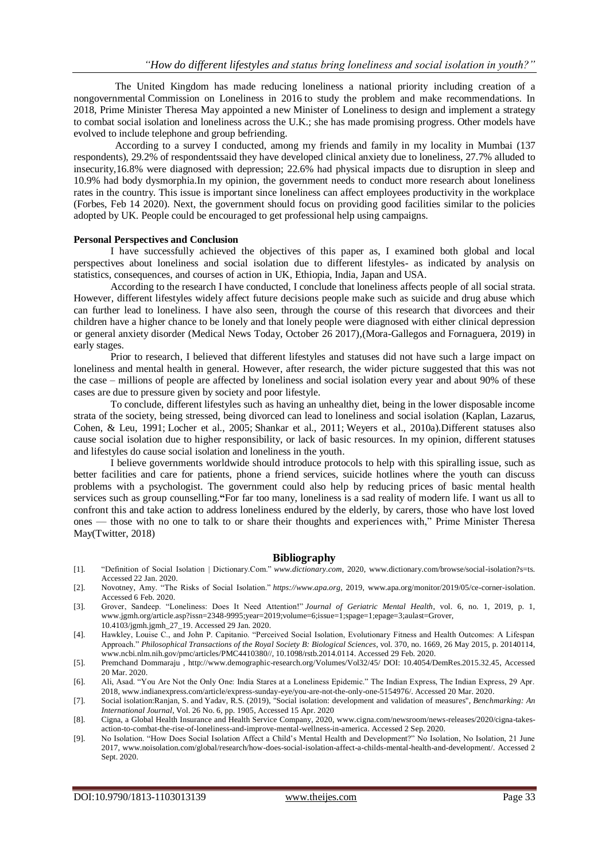The United Kingdom has made reducing loneliness a national priority including creation of a nongovernmental [Commission on Loneliness](https://www.bbc.com/news/uk-politics-38808665) in 2016 to study the problem and make recommendations. In 2018, Prime Minister Theresa May appointed a new [Minister of Loneliness](https://www.bbc.com/news/uk-42708507) to design and implement a strategy to combat social isolation and loneliness across the U.K.; she has made [promising progress.](https://www.gov.uk/government/publications/loneliness-annual-report-the-first-year/loneliness-annual-report-january-2020--2#progress) Other models have evolved to include telephone and group befriending.

According to a survey I conducted, among my friends and family in my locality in Mumbai (137 respondents), 29.2% of respondentssaid they have developed clinical anxiety due to loneliness, 27.7% alluded to insecurity,16.8% were diagnosed with depression; 22.6% had physical impacts due to disruption in sleep and 10.9% had body dysmorphia.In my opinion, the government needs to conduct more research about loneliness rates in the country. This issue is important since loneliness can affect employees productivity in the workplace (Forbes, Feb 14 2020). Next, the government should focus on providing good facilities similar to the policies adopted by UK. People could be encouraged to get professional help using campaigns.

#### **Personal Perspectives and Conclusion**

I have successfully achieved the objectives of this paper as, I examined both global and local perspectives about loneliness and social isolation due to different lifestyles- as indicated by analysis on statistics, consequences, and courses of action in UK, Ethiopia, India, Japan and USA.

According to the research I have conducted, I conclude that loneliness affects people of all social strata. However, different lifestyles widely affect future decisions people make such as suicide and drug abuse which can further lead to loneliness. I have also seen, through the course of this research that divorcees and their children have a higher chance to be lonely and that lonely people were diagnosed with either clinical depression or general anxiety disorder (Medical News Today, October 26 2017),(Mora-Gallegos and Fornaguera, 2019) in early stages.

Prior to research, I believed that different lifestyles and statuses did not have such a large impact on loneliness and mental health in general. However, after research, the wider picture suggested that this was not the case – millions of people are affected by loneliness and social isolation every year and about 90% of these cases are due to pressure given by society and poor lifestyle.

To conclude, different lifestyles such as having an unhealthy diet, being in the lower disposable income strata of the society, being stressed, being divorced can lead to loneliness and social isolation [\(Kaplan, Lazarus,](https://www.ncbi.nlm.nih.gov/pmc/articles/PMC6997896/#bib34) [Cohen, & Leu, 1991;](https://www.ncbi.nlm.nih.gov/pmc/articles/PMC6997896/#bib34) [Locher et al., 2005;](https://www.ncbi.nlm.nih.gov/pmc/articles/PMC6997896/#bib43) [Shankar et al., 2011;](https://www.ncbi.nlm.nih.gov/pmc/articles/PMC6997896/#bib54) [Weyers et al., 2010a\)](https://www.ncbi.nlm.nih.gov/pmc/articles/PMC6997896/#bib59).Different statuses also cause social isolation due to higher responsibility, or lack of basic resources. In my opinion, different statuses and lifestyles do cause social isolation and loneliness in the youth.

I believe governments worldwide should introduce protocols to help with this spiralling issue, such as better facilities and care for patients, phone a friend services, suicide hotlines where the youth can discuss problems with a psychologist. The government could also help by reducing prices of basic mental health services such as group counselling.**"**For far too many, loneliness is a sad reality of modern life. I want us all to confront this and take action to address loneliness endured by the elderly, by carers, those who have lost loved ones — those with no one to talk to or share their thoughts and experiences with," Prime Minister Theresa May(Twitter, 2018)

#### **Bibliography**

- [1]. "Definition of Social Isolation | Dictionary.Com." *www.dictionary.com*[, 2020, www.dictionary.com/browse/social-isolation?s=ts.](https://d.docs.live.net/ac693d94cddcdce1/Documents/Svea/www.dictionary.com,%202020,%20www.dictionary.com/browse/social-isolation?s=ts)  Accessed 22 Jan. 2020.
- [2]. Novotney, Amy. "The Risks of Social Isolation." *https://www.apa.org*, 2019, www.apa.org/monitor/2019/05/ce-corner-isolation. Accessed 6 Feb. 2020.
- [3]. Grover, Sandeep. "Loneliness: Does It Need Attention!" *Journal of Geriatric Mental Health*, vol. 6, no. 1, 2019, p. 1, [www.jgmh.org/article.asp?issn=2348-9995;year=2019;volume=6;issue=1;spage=1;epage=3;aulast=Grover,](https://d.docs.live.net/ac693d94cddcdce1/Documents/Svea/www.jgmh.org/article.asp?issn=2348-9995;year=2019;volume=6;issue=1;spage=1;epage=3;aulast=Grover,%2010.4103/jgmh.jgmh_27_19)  [10.4103/jgmh.jgmh\\_27\\_19.](https://d.docs.live.net/ac693d94cddcdce1/Documents/Svea/www.jgmh.org/article.asp?issn=2348-9995;year=2019;volume=6;issue=1;spage=1;epage=3;aulast=Grover,%2010.4103/jgmh.jgmh_27_19) Accessed 29 Jan. 2020.
- [4]. Hawkley, Louise C., and John P. Capitanio. "Perceived Social Isolation, Evolutionary Fitness and Health Outcomes: A Lifespan Approach." *Philosophical Transactions of the Royal Society B: Biological Sciences*, vol. 370, no. 1669, 26 May 2015, p. 20140114, [www.ncbi.nlm.nih.gov/pmc/articles/PMC4410380//, 10.1098/rstb.2014.0114.](https://d.docs.live.net/ac693d94cddcdce1/Documents/Svea/www.ncbi.nlm.nih.gov/pmc/articles/PMC4410380/,%2010.1098/rstb.2014.0114) Accessed 29 Feb. 2020.
- [5]. Premchand Dommaraju , [http://www.demographic-research.org/Volumes/Vol32/45/](http://www.demographic-research.org/Volumes/Vol32/45/%20DOI:%2010.4054/DemRes.2015.32.45,) DOI: 10.4054/DemRes.2015.32.45, Accessed 20 Mar. 2020.
- [6]. Ali, Asad. "You Are Not the Only One: India Stares at a Loneliness Epidemic." The Indian Express, The Indian Express, 29 Apr. 2018[, www.indianexpress.com/article/express-sunday-eye/you-are-not-the-only-one-5154976/.](https://d.docs.live.net/ac693d94cddcdce1/Documents/Svea/www.indianexpress.com/article/express-sunday-eye/you-are-not-the-only-one-5154976/) Accessed 20 Mar. 2020.
- [7]. Social isolation:Ranjan, S. and Yadav, R.S. (2019), "Social isolation: development and validation of measures", *Benchmarking: An International Journal*, Vol. 26 No. 6, pp. 1905, Accessed 15 Apr. 2020
- [8]. Cigna, a Global Health Insurance and Health Service Company, 2020, [www.cigna.com/newsroom/news-releases/2020/cigna-takes](https://d.docs.live.net/ac693d94cddcdce1/Documents/Svea/www.cigna.com/newsroom/news-releases/2020/cigna-takes-action-to-combat-the-rise-of-loneliness-and-improve-mental-wellness-in-america)[action-to-combat-the-rise-of-loneliness-and-improve-mental-wellness-in-america.](https://d.docs.live.net/ac693d94cddcdce1/Documents/Svea/www.cigna.com/newsroom/news-releases/2020/cigna-takes-action-to-combat-the-rise-of-loneliness-and-improve-mental-wellness-in-america) Accessed 2 Sep. 2020.
- [9]. No Isolation. "How Does Social Isolation Affect a Child's Mental Health and Development?" No Isolation, No Isolation, 21 June 2017[, www.noisolation.com/global/research/how-does-social-isolation-affect-a-childs-mental-health-and-development/.](https://d.docs.live.net/ac693d94cddcdce1/Documents/Svea/www.noisolation.com/global/research/how-does-social-isolation-affect-a-childs-mental-health-and-development/) Accessed 2 Sept. 2020.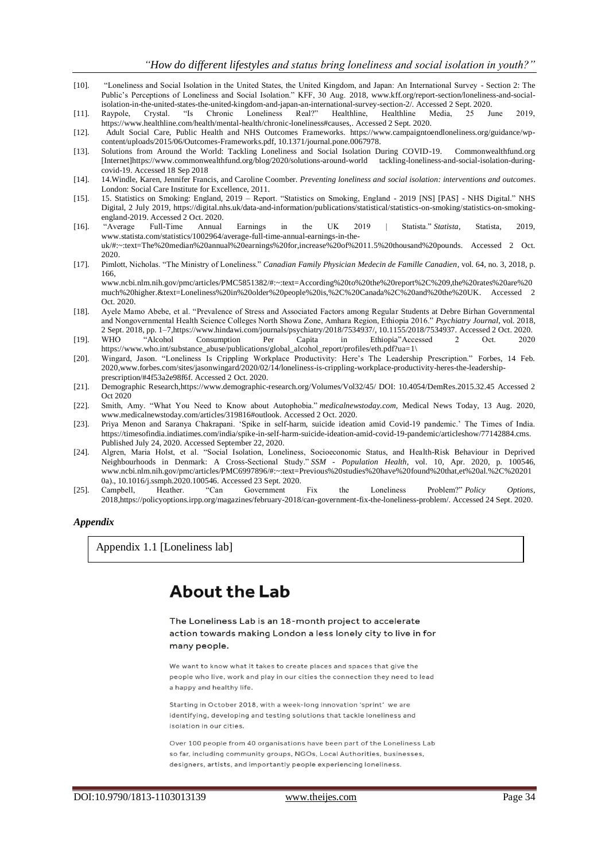- [10]. "Loneliness and Social Isolation in the United States, the United Kingdom, and Japan: An International Survey Section 2: The Public's Perceptions of Loneliness and Social Isolation." KFF, 30 Aug. 2018, [www.kff.org/report-section/loneliness-and-social](https://d.docs.live.net/ac693d94cddcdce1/Documents/Svea/www.kff.org/report-section/loneliness-and-social-isolation-in-the-united-states-the-united-kingdom-and-japan-an-international-survey-section-2/)[isolation-in-the-united-states-the-united-kingdom-and-japan-an-international-survey-section-2/.](https://d.docs.live.net/ac693d94cddcdce1/Documents/Svea/www.kff.org/report-section/loneliness-and-social-isolation-in-the-united-states-the-united-kingdom-and-japan-an-international-survey-section-2/) Accessed 2 Sept. 2020.
- [11]. Raypole, Crystal. "Is Chronic Loneliness Real?" Healthline, Healthline Media, 25 June 2019, [https://www.healthline.com/health/mental-health/chronic-loneliness#causes,.](https://www.healthline.com/health/mental-health/chronic-loneliness%23causes) Accessed 2 Sept. 2020.
- [12]. Adult Social Care, Public Health and NHS Outcomes Frameworks. [https://www.campaigntoendloneliness.org/guidance/wp](https://www.campaigntoendloneliness.org/guidance/wp-content/uploads/2015/06/Outcomes-Frameworks.pdf,%2010.1371/journal.pone.0067978.)[content/uploads/2015/06/Outcomes-Frameworks.pdf, 10.1371/journal.pone.0067978.](https://www.campaigntoendloneliness.org/guidance/wp-content/uploads/2015/06/Outcomes-Frameworks.pdf,%2010.1371/journal.pone.0067978.)
- [13]. Solutions from Around the World: Tackling Loneliness and Social Isolation During COVID-19. Commonwealthfund.org [Internet[\]https://www.commonwealthfund.org/blog/2020/solutions-around-world tackling-loneliness-and-social-isolation-during](https://www.commonwealthfund.org/blog/2020/solutions-around-world%20tackling-loneliness-and-social-isolation-during-covid-19)[covid-19.](https://www.commonwealthfund.org/blog/2020/solutions-around-world%20tackling-loneliness-and-social-isolation-during-covid-19) Accessed 18 Sep 2018
- [14]. 14.Windle, Karen, Jennifer Francis, and Caroline Coomber. *Preventing loneliness and social isolation: interventions and outcomes*. London: Social Care Institute for Excellence, 2011.
- [15]. 15. Statistics on Smoking: England, 2019 Report. "Statistics on Smoking, England 2019 [NS] [PAS] NHS Digital." NHS Digital, 2 July 2019[, https://digital.nhs.uk/data-and-information/publications/statistical/statistics-on-smoking/statistics-on-smoking](https://digital.nhs.uk/data-and-information/publications/statistical/statistics-on-smoking/statistics-on-smoking-england-2019)[england-2019.](https://digital.nhs.uk/data-and-information/publications/statistical/statistics-on-smoking/statistics-on-smoking-england-2019) Accessed 2 Oct. 2020.<br>"Average Full-Time Annual"
- [16]. "Average Full-Time Annual Earnings in the UK 2019 | Statista." *Statista*, Statista, 2019, [www.statista.com/statistics/1002964/average-full-time-annual-earnings-in-the](https://d.docs.live.net/ac693d94cddcdce1/Documents/Svea/www.statista.com/statistics/1002964/average-full-time-annual-earnings-in-the-uk/%23:~:text=The%20median%20annual%20earnings%20for,increase%20of%2011.5%20thousand%20pounds)[uk/#:~:text=The%20median%20annual%20earnings%20for,increase%20of%2011.5%20thousand%20pounds.](https://d.docs.live.net/ac693d94cddcdce1/Documents/Svea/www.statista.com/statistics/1002964/average-full-time-annual-earnings-in-the-uk/%23:~:text=The%20median%20annual%20earnings%20for,increase%20of%2011.5%20thousand%20pounds) Accessed 2 Oct. 2020.
- [17]. Pimlott, Nicholas. "The Ministry of Loneliness." *Canadian Family Physician Medecin de Famille Canadien*, vol. 64, no. 3, 2018, p. 166,
	- [www.ncbi.nlm.nih.gov/pmc/articles/PMC5851382/#:~:text=According%20to%20the%20report%2C%209,the%20rates%20are%20](https://d.docs.live.net/ac693d94cddcdce1/Documents/Svea/www.ncbi.nlm.nih.gov/pmc/articles/PMC5851382/%23:~:text=According%20to%20the%20report%2C%209,the%20rates%20are%20much%20higher.&text=Loneliness%20in%20older%20people%20is,%2C%20Canada%2C%20and%20the%20UK) [much%20higher.&text=Loneliness%20in%20older%20people%20is,%2C%20Canada%2C%20and%20the%20UK.](https://d.docs.live.net/ac693d94cddcdce1/Documents/Svea/www.ncbi.nlm.nih.gov/pmc/articles/PMC5851382/%23:~:text=According%20to%20the%20report%2C%209,the%20rates%20are%20much%20higher.&text=Loneliness%20in%20older%20people%20is,%2C%20Canada%2C%20and%20the%20UK) Accessed 2 Oct. 2020.
- [18]. Ayele Mamo Abebe, et al. "Prevalence of Stress and Associated Factors among Regular Students at Debre Birhan Governmental and Nongovernmental Health Science Colleges North Showa Zone, Amhara Region, Ethiopia 2016." *Psychiatry Journal*, vol. 2018, 2 Sept. 2018, pp. 1–[7,https://www.hindawi.com/journals/psychiatry/2018/7534937/, 10.1155/2018/7534937.](https://www.who.int/substance_abuse/publications/global_alcohol_report/profiles/eth.pdf?ua=1/) Accessed 2 Oct. 2020.
- [19]. WHO "Alcohol Consumption Per Capita in Ethiopia"Accessed 2 Oct. 2020 [https://www.who.int/substance\\_abuse/publications/global\\_alcohol\\_report/profiles/eth.pdf?ua=1\](https://www.who.int/substance_abuse/publications/global_alcohol_report/profiles/eth.pdf?ua=1/)
- [20]. Wingard, Jason. "Loneliness Is Crippling Workplace Productivity: Here's The Leadership Prescription." Forbes, 14 Feb. 202[0,www.forbes.com/sites/jasonwingard/2020/02/14/loneliness-is-crippling-workplace-productivity-heres-the-leadership](http://www.forbes.com/sites/jasonwingard/2020/02/14/loneliness-is-crippling-workplace-productivity-heres-the-leadership-prescription/#4f53a2e98f6f)[prescription/#4f53a2e98f6f.](http://www.forbes.com/sites/jasonwingard/2020/02/14/loneliness-is-crippling-workplace-productivity-heres-the-leadership-prescription/#4f53a2e98f6f) Accessed 2 Oct. 2020.
- [21]. Demographic Researc[h,https://www.demographic-research.org/Volumes/Vol32/45/ DOI: 10.4054/DemRes.2015.32.45](https://www.demographic-research.org/Volumes/Vol32/45/%20DOI:%2010.4054/DemRes.2015.32.45) Accessed 2 Oct 2020
- [22]. Smith, Amy. "What You Need to Know about Autophobia." *medicalnewstoday.com*, Medical News Today, 13 Aug. 2020, [www.medicalnewstoday.com/articles/319816#outlook.](https://d.docs.live.net/ac693d94cddcdce1/Documents/Svea/www.medicalnewstoday.com/articles/319816%23outlook.) Accessed 2 Oct. 2020.
- [23]. Priya Menon and Saranya Chakrapani. 'Spike in self-harm, suicide ideation amid Covid-19 pandemic.' The Times of India. [https://timesofindia.indiatimes.com/india/spike-in-self-harm-suicide-ideation-amid-covid-19-pandemic/articleshow/77142884.cms.](https://timesofindia.indiatimes.com/india/spike-in-self-harm-suicide-ideation-amid-covid-19-pandemic/articleshow/77142884.cms)  Published July 24, 2020. Accessed September 22, 2020.
- [24]. Algren, Maria Holst, et al. "Social Isolation, Loneliness, Socioeconomic Status, and Health-Risk Behaviour in Deprived Neighbourhoods in Denmark: A Cross-Sectional Study." *SSM - Population Health*, vol. 10, Apr. 2020, p. 100546, [www.ncbi.nlm.nih.gov/pmc/articles/PMC6997896/#:~:text=Previous%20studies%20have%20found%20that,et%20al.%2C%20201](https://d.docs.live.net/ac693d94cddcdce1/Documents/Svea/www.ncbi.nlm.nih.gov/pmc/articles/PMC6997896/%23:~:text=Previous%20studies%20have%20found%20that,et%20al.%2C%202010a).,%2010.1016/j.ssmph.2020.100546.) [0a\)., 10.1016/j.ssmph.2020.100546.](https://d.docs.live.net/ac693d94cddcdce1/Documents/Svea/www.ncbi.nlm.nih.gov/pmc/articles/PMC6997896/%23:~:text=Previous%20studies%20have%20found%20that,et%20al.%2C%202010a).,%2010.1016/j.ssmph.2020.100546.) Accessed 23 Sept. 2020.
- [25]. Campbell, Heather. "Can Government Fix the Loneliness Problem?" *Policy Options*, 201[8,https://policyoptions.irpp.org/magazines/february-2018/can-government-fix-the-loneliness-problem/.](https://d.docs.live.net/ac693d94cddcdce1/Documents/Svea/hufe) Accessed 24 Sept. 2020.

#### *Appendix*

Appendix 1.1 [Loneliness lab]

## **About the Lab**

The Loneliness Lab is an 18-month project to accelerate action towards making London a less lonely city to live in for many people.

We want to know what it takes to create places and spaces that give the people who live, work and play in our cities the connection they need to lead a happy and healthy life

Starting in October 2018, with a week-long innovation 'sprint' we are identifying, developing and testing solutions that tackle loneliness and isolation in our cities.

Over 100 people from 40 organisations have been part of the Loneliness Lab so far, including community groups, NGOs, Local Authorities, businesses, designers, artists, and importantly people experiencing loneliness.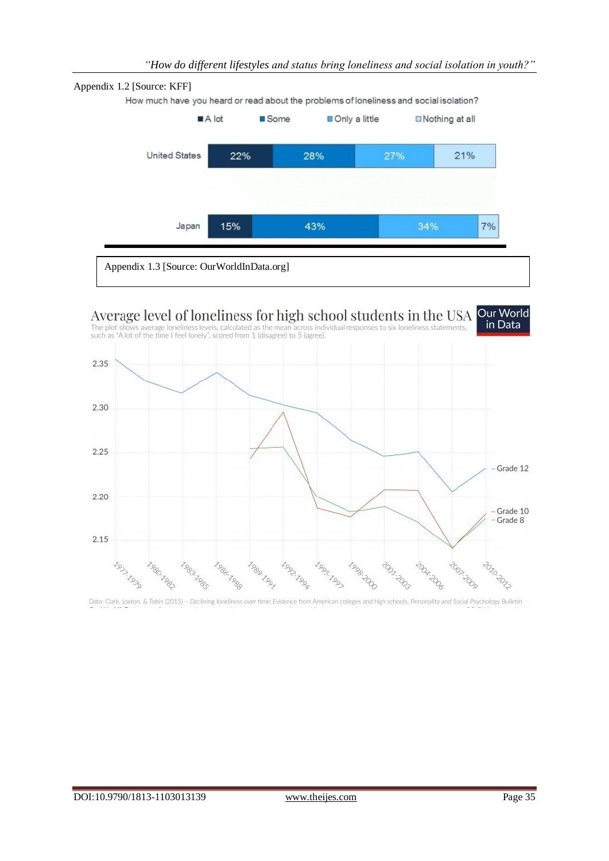

Appendix 1.3 [Source: OurWorldInData.org]

# Average level of loneliness for high school students in the USA Our World<br>The plot shows average loneliness levels, calculated as the mean across individual responses to six loneliness statements. **In Data**

The plot shows average loneliness levels, calculated as the mean across indistrict in the blot of the time I feel lonely", scored from 1 (disagree) to 5 (agree).



Data: Clark, Loxton, & Tobin (2015) - Declining loneliness over time: Evidence from American colleges and high schools. Personality and Social Psychology Bulletin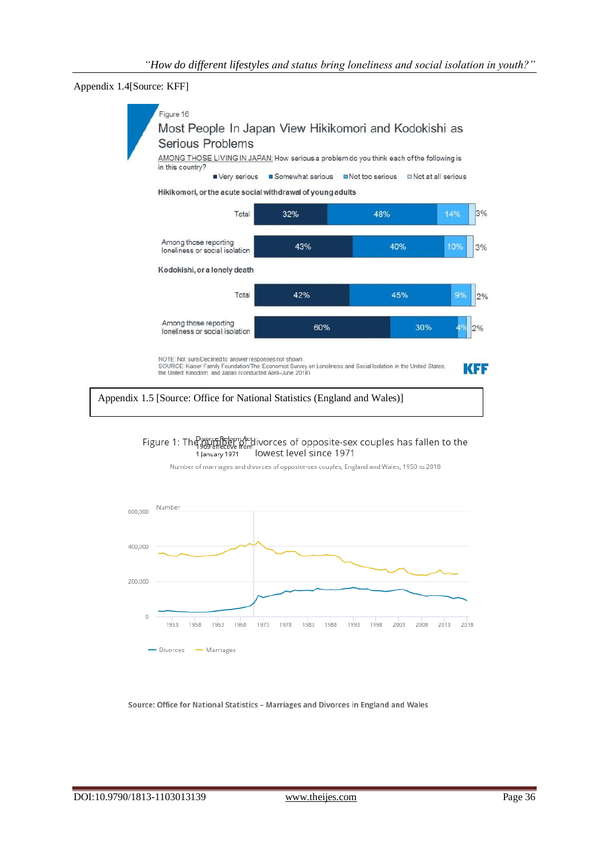Appendix 1.4[Source: KFF]



Figure 1: The worse Reform Activorces of opposite-sex couples has fallen to the lowest level since 1971 1 January 1971

Number of marriages and divorces of opposite-sex couples. England and Wales, 1950 to 2018



Source: Office for National Statistics - Marriages and Divorces in England and Wales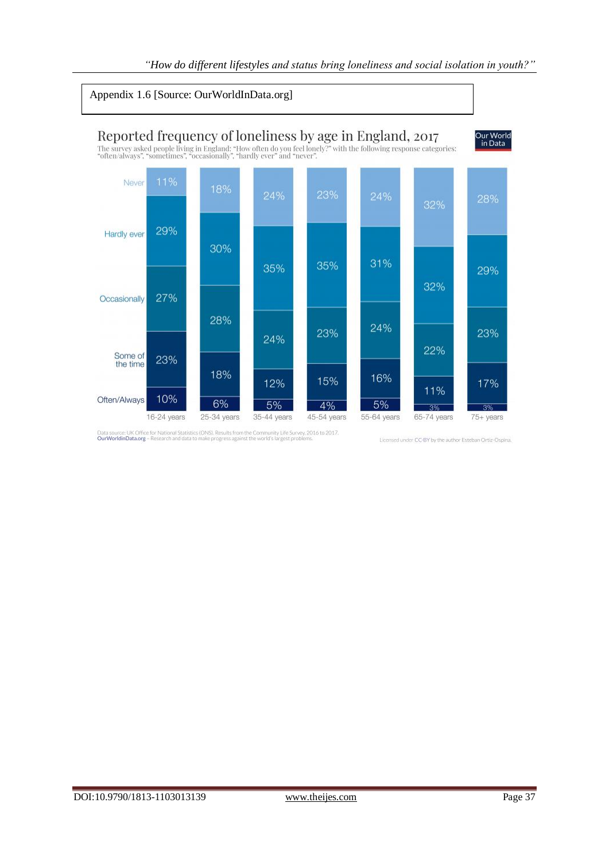### Appendix 1.6 [Source: OurWorldInData.org]



Data source: UK Office for National Statistics (ONS). Results from the Community Life Survey, 2016 to 2017.<br>OurWorldinData.org - Research and data to make progress against the world's largest problems.

Licensed under CC-BY by the author Esteban Ortiz-Ospina.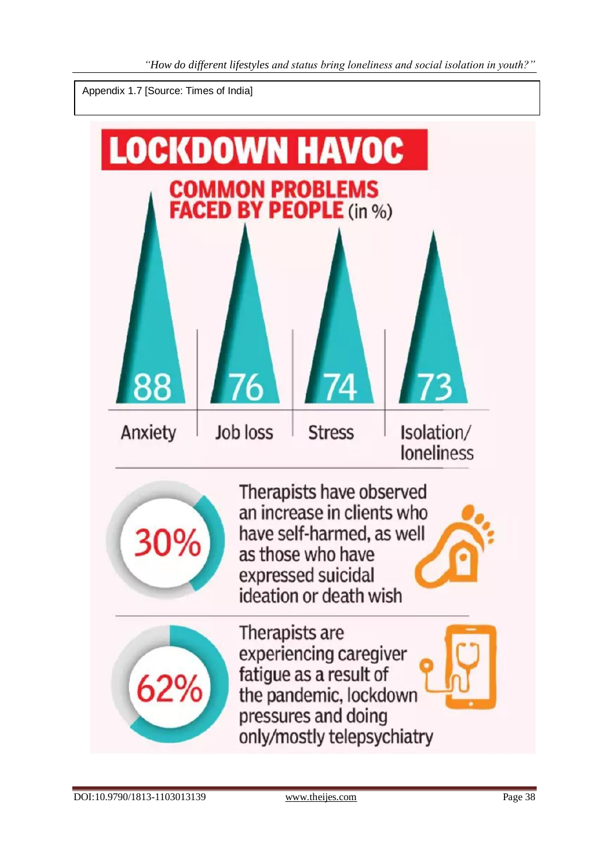Appendix 1.7 [Source: Times of India]